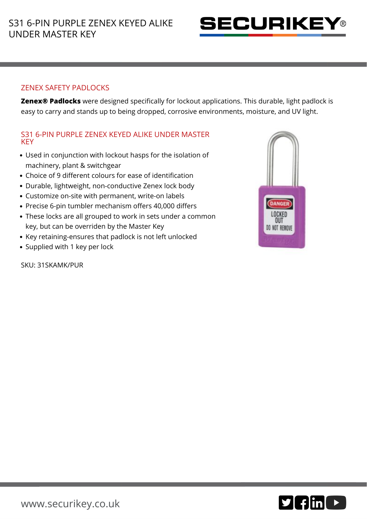

## ZENEX SAFETY PADLOCKS

**Zenex® Padlocks** were designed specifically for lockout applications. This durable, light padlock is easy to carry and stands up to being dropped, corrosive environments, moisture, and UV light.

## S31 6-PIN PURPLE ZENEX KEYED ALIKE UNDER MASTER **KEY**

- Used in conjunction with lockout hasps for the isolation of machinery, plant & switchgear
- Choice of 9 different colours for ease of identification
- Durable, lightweight, non-conductive Zenex lock body
- Customize on-site with permanent, write-on labels
- Precise 6-pin tumbler mechanism offers 40,000 differs
- These locks are all grouped to work in sets under a common key, but can be overriden by the Master Key
- Key retaining-ensures that padlock is not left unlocked
- Supplied with 1 key per lock

SKU: 31SKAMK/PUR



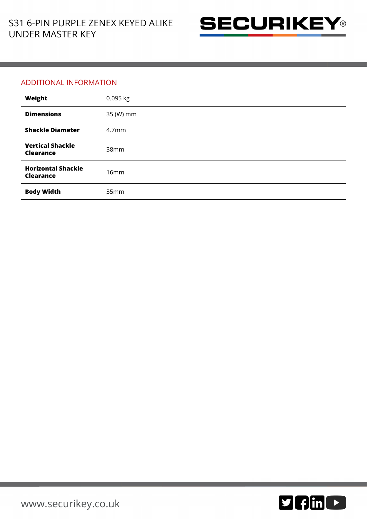

## ADDITIONAL INFORMATION

| Weight                                        | $0.095$ kg        |
|-----------------------------------------------|-------------------|
| <b>Dimensions</b>                             | 35 (W) mm         |
| <b>Shackle Diameter</b>                       | 4.7 <sub>mm</sub> |
| <b>Vertical Shackle</b><br><b>Clearance</b>   | 38mm              |
| <b>Horizontal Shackle</b><br><b>Clearance</b> | 16mm              |
| <b>Body Width</b>                             | 35mm              |

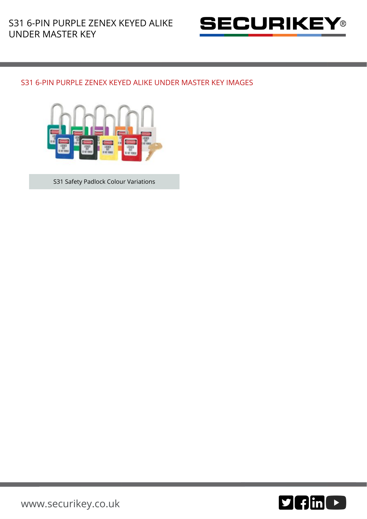

## S31 6-PIN PURPLE ZENEX KEYED ALIKE UNDER MASTER KEY IMAGES



S31 Safety Padlock Colour Variations